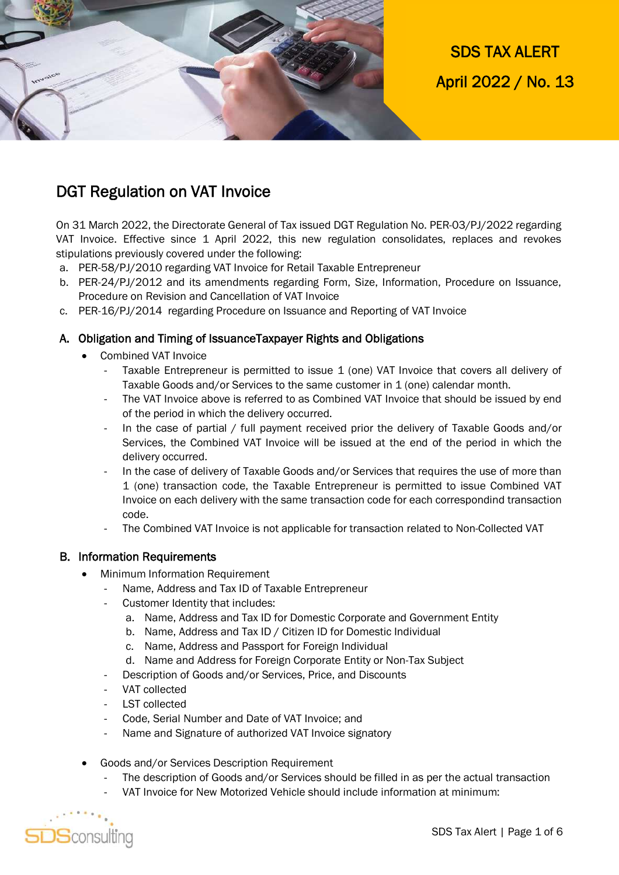

## DGT Regulation on VAT Invoice

On 31 March 2022, the Directorate General of Tax issued DGT Regulation No. PER-03/PJ/2022 regarding VAT Invoice. Effective since 1 April 2022, this new regulation consolidates, replaces and revokes stipulations previously covered under the following:

- a. PER-58/PJ/2010 regarding VAT Invoice for Retail Taxable Entrepreneur
- b. PER-24/PJ/2012 and its amendments regarding Form, Size, Information, Procedure on Issuance, Procedure on Revision and Cancellation of VAT Invoice
- c. PER-16/PJ/2014 regarding Procedure on Issuance and Reporting of VAT Invoice

### A. Obligation and Timing of IssuanceTaxpayer Rights and Obligations

- Combined VAT Invoice
	- Taxable Entrepreneur is permitted to issue 1 (one) VAT Invoice that covers all delivery of Taxable Goods and/or Services to the same customer in 1 (one) calendar month.
	- The VAT Invoice above is referred to as Combined VAT Invoice that should be issued by end of the period in which the delivery occurred.
	- In the case of partial / full payment received prior the delivery of Taxable Goods and/or Services, the Combined VAT Invoice will be issued at the end of the period in which the delivery occurred.
	- In the case of delivery of Taxable Goods and/or Services that requires the use of more than 1 (one) transaction code, the Taxable Entrepreneur is permitted to issue Combined VAT Invoice on each delivery with the same transaction code for each correspondind transaction code.
	- The Combined VAT Invoice is not applicable for transaction related to Non-Collected VAT

#### B. Information Requirements

- Minimum Information Requirement
	- Name, Address and Tax ID of Taxable Entrepreneur
	- Customer Identity that includes:
		- a. Name, Address and Tax ID for Domestic Corporate and Government Entity
		- b. Name, Address and Tax ID / Citizen ID for Domestic Individual
		- c. Name, Address and Passport for Foreign Individual
		- d. Name and Address for Foreign Corporate Entity or Non-Tax Subject
		- Description of Goods and/or Services, Price, and Discounts
	- VAT collected
	- LST collected
	- Code, Serial Number and Date of VAT Invoice; and
	- Name and Signature of authorized VAT Invoice signatory
- Goods and/or Services Description Requirement
	- The description of Goods and/or Services should be filled in as per the actual transaction
	- VAT Invoice for New Motorized Vehicle should include information at minimum:

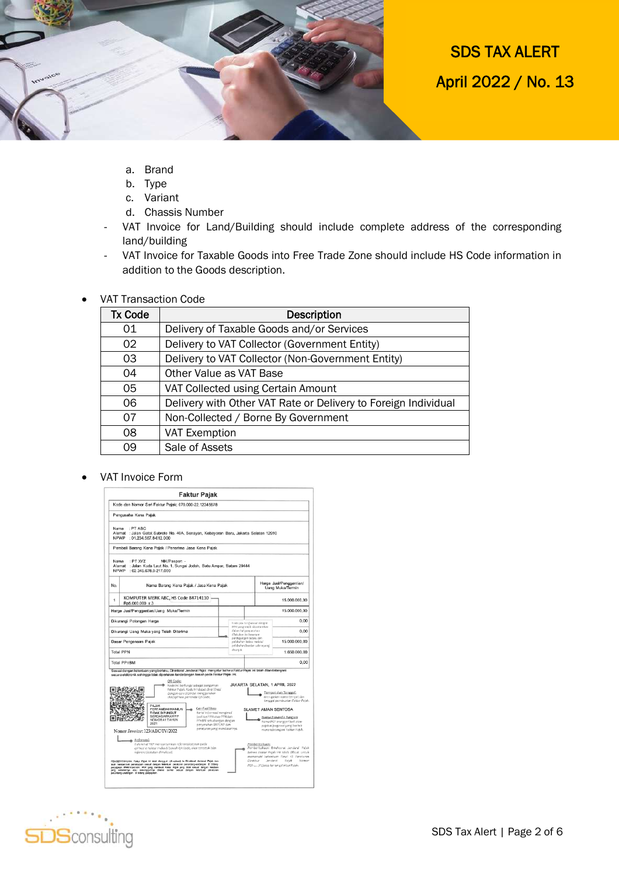

- a. Brand
- b. Type
- c. Variant
- d. Chassis Number
- VAT Invoice for Land/Building should include complete address of the corresponding land/building
- VAT Invoice for Taxable Goods into Free Trade Zone should include HS Code information in addition to the Goods description.

#### VAT Transaction Code

| <b>Tx Code</b> | Description                                                    |
|----------------|----------------------------------------------------------------|
| 01             | Delivery of Taxable Goods and/or Services                      |
| 02             | Delivery to VAT Collector (Government Entity)                  |
| 03             | Delivery to VAT Collector (Non-Government Entity)              |
| 04             | Other Value as VAT Base                                        |
| 05             | VAT Collected using Certain Amount                             |
| 06             | Delivery with Other VAT Rate or Delivery to Foreign Individual |
| 07             | Non-Collected / Borne By Government                            |
| 08             | <b>VAT Exemption</b>                                           |
| 09             | Sale of Assets                                                 |

#### VAT Invoice Form



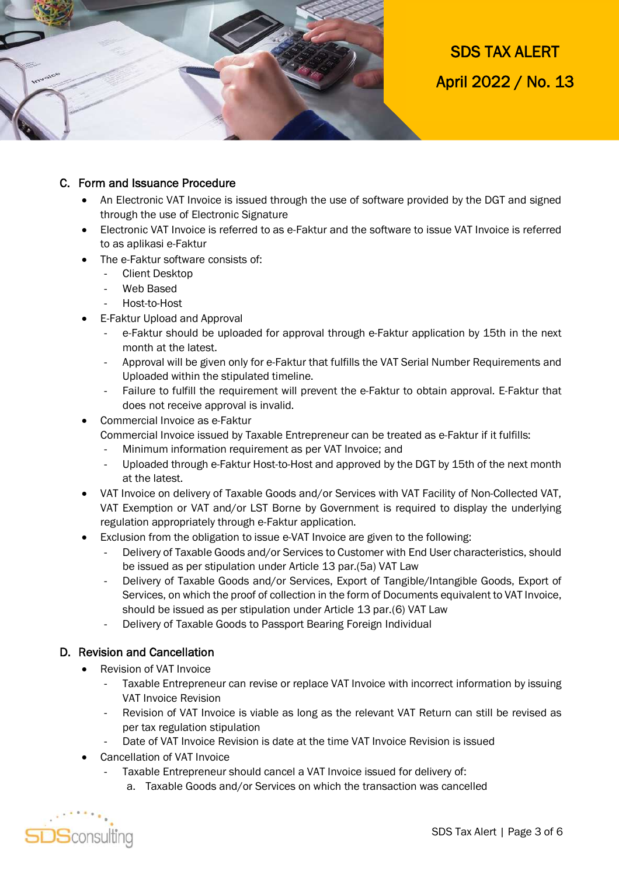

## C. Form and Issuance Procedure

- An Electronic VAT Invoice is issued through the use of software provided by the DGT and signed through the use of Electronic Signature
- Electronic VAT Invoice is referred to as e-Faktur and the software to issue VAT Invoice is referred to as aplikasi e-Faktur
- The e-Faktur software consists of:
	- Client Desktop
	- Web Based
	- Host-to-Host
- E-Faktur Upload and Approval
	- e-Faktur should be uploaded for approval through e-Faktur application by 15th in the next month at the latest.
	- Approval will be given only for e-Faktur that fulfills the VAT Serial Number Requirements and Uploaded within the stipulated timeline.
	- Failure to fulfill the requirement will prevent the e-Faktur to obtain approval. E-Faktur that does not receive approval is invalid.
- Commercial Invoice as e-Faktur Commercial Invoice issued by Taxable Entrepreneur can be treated as e-Faktur if it fulfills:
	- Minimum information requirement as per VAT Invoice; and
	- Uploaded through e-Faktur Host-to-Host and approved by the DGT by 15th of the next month at the latest.
- VAT Invoice on delivery of Taxable Goods and/or Services with VAT Facility of Non-Collected VAT, VAT Exemption or VAT and/or LST Borne by Government is required to display the underlying regulation appropriately through e-Faktur application.
- Exclusion from the obligation to issue e-VAT Invoice are given to the following:
	- Delivery of Taxable Goods and/or Services to Customer with End User characteristics, should be issued as per stipulation under Article 13 par.(5a) VAT Law
	- Delivery of Taxable Goods and/or Services, Export of Tangible/Intangible Goods, Export of Services, on which the proof of collection in the form of Documents equivalent to VAT Invoice, should be issued as per stipulation under Article 13 par.(6) VAT Law
	- Delivery of Taxable Goods to Passport Bearing Foreign Individual

## D. Revision and Cancellation

- Revision of VAT Invoice
	- Taxable Entrepreneur can revise or replace VAT Invoice with incorrect information by issuing VAT Invoice Revision
	- Revision of VAT Invoice is viable as long as the relevant VAT Return can still be revised as per tax regulation stipulation
	- Date of VAT Invoice Revision is date at the time VAT Invoice Revision is issued
- Cancellation of VAT Invoice
	- Taxable Entrepreneur should cancel a VAT Invoice issued for delivery of:
		- a. Taxable Goods and/or Services on which the transaction was cancelled

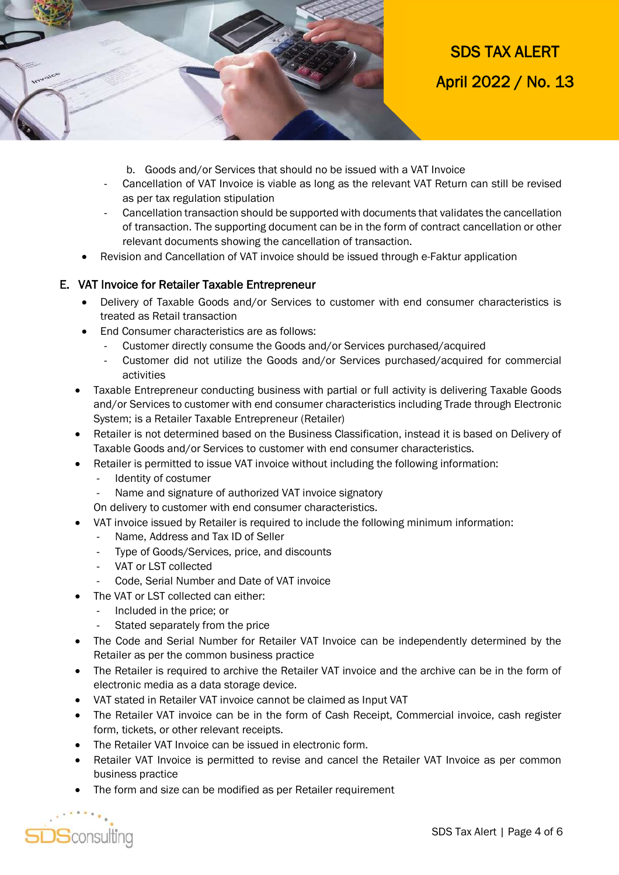

- b. Goods and/or Services that should no be issued with a VAT Invoice
- Cancellation of VAT Invoice is viable as long as the relevant VAT Return can still be revised as per tax regulation stipulation
- Cancellation transaction should be supported with documents that validates the cancellation of transaction. The supporting document can be in the form of contract cancellation or other relevant documents showing the cancellation of transaction.
- Revision and Cancellation of VAT invoice should be issued through e-Faktur application

### E. VAT Invoice for Retailer Taxable Entrepreneur

- Delivery of Taxable Goods and/or Services to customer with end consumer characteristics is treated as Retail transaction
- End Consumer characteristics are as follows:
	- Customer directly consume the Goods and/or Services purchased/acquired
	- Customer did not utilize the Goods and/or Services purchased/acquired for commercial activities
- Taxable Entrepreneur conducting business with partial or full activity is delivering Taxable Goods and/or Services to customer with end consumer characteristics including Trade through Electronic System; is a Retailer Taxable Entrepreneur (Retailer)
- Retailer is not determined based on the Business Classification, instead it is based on Delivery of Taxable Goods and/or Services to customer with end consumer characteristics.
- Retailer is permitted to issue VAT invoice without including the following information:
	- Identity of costumer
	- Name and signature of authorized VAT invoice signatory
	- On delivery to customer with end consumer characteristics.
- VAT invoice issued by Retailer is required to include the following minimum information:
	- Name, Address and Tax ID of Seller
	- Type of Goods/Services, price, and discounts
	- VAT or LST collected
	- Code, Serial Number and Date of VAT invoice
- The VAT or LST collected can either:
	- Included in the price; or
	- Stated separately from the price
- The Code and Serial Number for Retailer VAT Invoice can be independently determined by the Retailer as per the common business practice
- The Retailer is required to archive the Retailer VAT invoice and the archive can be in the form of electronic media as a data storage device.
- VAT stated in Retailer VAT invoice cannot be claimed as Input VAT
- The Retailer VAT invoice can be in the form of Cash Receipt, Commercial invoice, cash register form, tickets, or other relevant receipts.
- The Retailer VAT Invoice can be issued in electronic form.
- Retailer VAT Invoice is permitted to revise and cancel the Retailer VAT Invoice as per common business practice
- The form and size can be modified as per Retailer requirement

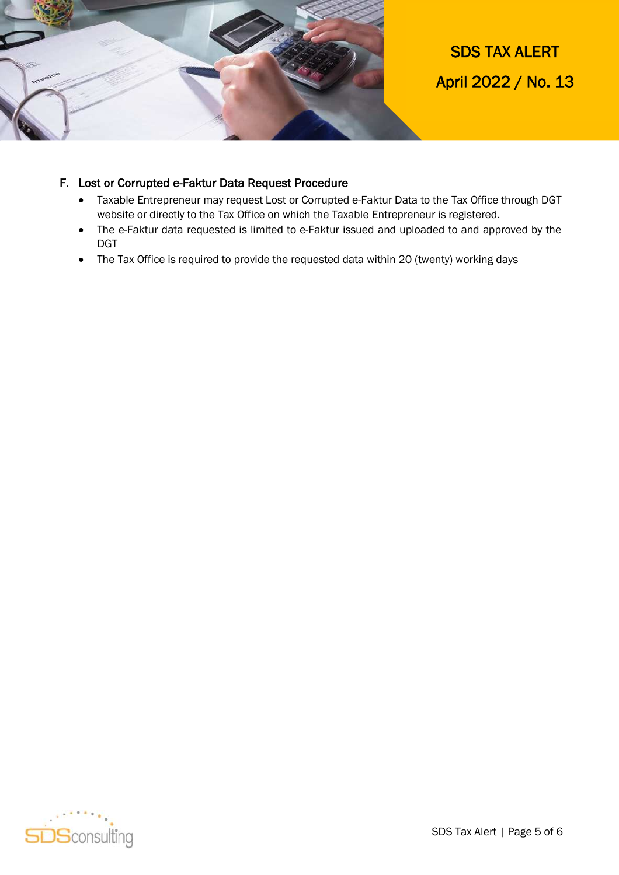

## F. Lost or Corrupted e-Faktur Data Request Procedure

- Taxable Entrepreneur may request Lost or Corrupted e-Faktur Data to the Tax Office through DGT website or directly to the Tax Office on which the Taxable Entrepreneur is registered.
- The e-Faktur data requested is limited to e-Faktur issued and uploaded to and approved by the DGT
- The Tax Office is required to provide the requested data within 20 (twenty) working days